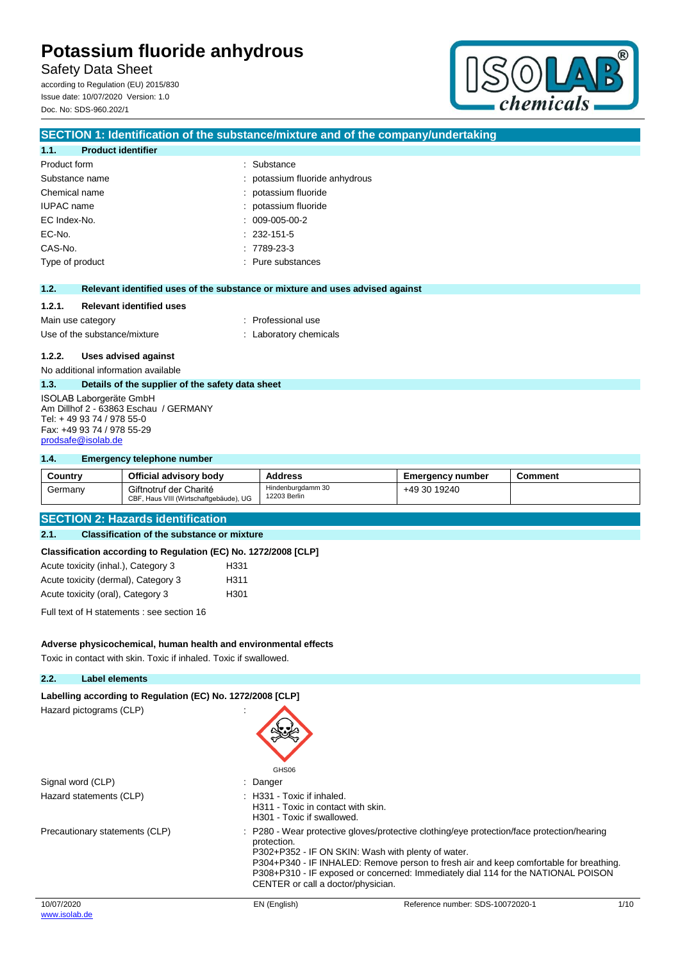Safety Data Sheet

according to Regulation (EU) 2015/830 Issue date: 10/07/2020 Version: 1.0 Doc. No: SDS-960.202/1



|                                                                                                                                                   | SECTION 1: Identification of the substance/mixture and of the company/undertaking |
|---------------------------------------------------------------------------------------------------------------------------------------------------|-----------------------------------------------------------------------------------|
| <b>Product identifier</b><br>1.1.                                                                                                                 |                                                                                   |
| Product form                                                                                                                                      | Substance<br>۰                                                                    |
| Substance name                                                                                                                                    | potassium fluoride anhydrous                                                      |
| Chemical name                                                                                                                                     | potassium fluoride                                                                |
| <b>IUPAC</b> name                                                                                                                                 | potassium fluoride                                                                |
| EC Index-No.                                                                                                                                      | 009-005-00-2                                                                      |
| EC-No.                                                                                                                                            | $: 232 - 151 - 5$                                                                 |
| CAS-No.                                                                                                                                           | $: 7789-23-3$                                                                     |
| Type of product                                                                                                                                   | Pure substances                                                                   |
|                                                                                                                                                   |                                                                                   |
| 1.2.                                                                                                                                              | Relevant identified uses of the substance or mixture and uses advised against     |
| <b>Relevant identified uses</b><br>1.2.1.                                                                                                         |                                                                                   |
| Main use category                                                                                                                                 | : Professional use                                                                |
| Use of the substance/mixture                                                                                                                      | : Laboratory chemicals                                                            |
| 1.2.2.<br>Uses advised against                                                                                                                    |                                                                                   |
|                                                                                                                                                   |                                                                                   |
| No additional information available                                                                                                               |                                                                                   |
| 1.3.<br>Details of the supplier of the safety data sheet                                                                                          |                                                                                   |
| ISOLAB Laborgeräte GmbH<br>Am Dillhof 2 - 63863 Eschau / GERMANY<br>Tel: +49 93 74 / 978 55-0<br>Fax: +49 93 74 / 978 55-29<br>prodsafe@isolab.de |                                                                                   |
| 1.4.<br><b>Emergency telephone number</b>                                                                                                         |                                                                                   |

| -------<br>___________________________________ |                                                                  |                                   |                         |         |
|------------------------------------------------|------------------------------------------------------------------|-----------------------------------|-------------------------|---------|
| Country                                        | Official advisory body                                           | <b>Address</b>                    | <b>Emergency number</b> | Comment |
| Germany                                        | Giftnotruf der Charité<br>CBF, Haus VIII (Wirtschaftgebäude), UG | Hindenburgdamm 30<br>12203 Berlin | +49 30 19240            |         |

## **SECTION 2: Hazards identification**

### **2.1. Classification of the substance or mixture**

#### **Classification according to Regulation (EC) No. 1272/2008 [CLP]**

| Acute toxicity (inhal.), Category 3 | H331 |
|-------------------------------------|------|
| Acute toxicity (dermal), Category 3 | H311 |
| Acute toxicity (oral), Category 3   | H301 |

Full text of H statements : see section 16

### **Adverse physicochemical, human health and environmental effects**

Toxic in contact with skin. Toxic if inhaled. Toxic if swallowed.

### **2.2. Label elements**

| Labelling according to Regulation (EC) No. 1272/2008 [CLP]<br>Hazard pictograms (CLP) | GHS06                                                                                          |                                                                                                                                                                                                                                                                                                                                 |      |
|---------------------------------------------------------------------------------------|------------------------------------------------------------------------------------------------|---------------------------------------------------------------------------------------------------------------------------------------------------------------------------------------------------------------------------------------------------------------------------------------------------------------------------------|------|
| Signal word (CLP)                                                                     | : Danger                                                                                       |                                                                                                                                                                                                                                                                                                                                 |      |
| Hazard statements (CLP)                                                               | : H331 - Toxic if inhaled.<br>H311 - Toxic in contact with skin.<br>H301 - Toxic if swallowed. |                                                                                                                                                                                                                                                                                                                                 |      |
| Precautionary statements (CLP)                                                        | protection.<br>CENTER or call a doctor/physician.                                              | : P280 - Wear protective gloves/protective clothing/eye protection/face protection/hearing<br>P302+P352 - IF ON SKIN: Wash with plenty of water.<br>P304+P340 - IF INHALED: Remove person to fresh air and keep comfortable for breathing.<br>P308+P310 - IF exposed or concerned: Immediately dial 114 for the NATIONAL POISON |      |
| 10/07/2020<br>www.isolab.de                                                           | EN (English)                                                                                   | Reference number: SDS-10072020-1                                                                                                                                                                                                                                                                                                | 1/1C |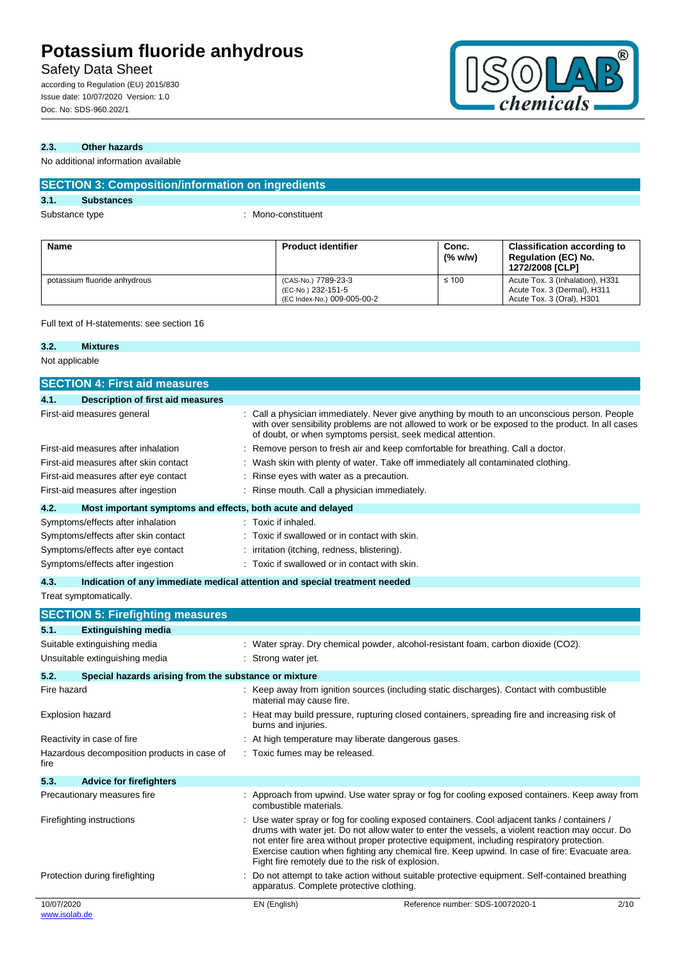potassium fluoride anhydrous (CAS-No.) 7789-23-3

## Safety Data Sheet

according to Regulation (EU) 2015/830 Issue date: 10/07/2020 Version: 1.0 Doc. No: SDS-960.202/1



≤ 100 Acute Tox. 3 (Inhalation), H331

Acute Tox. 3 (Dermal), H311 Acute Tox. 3 (Oral), H301

#### **2.3. Other hazards**

No additional information available

|             | <b>SECTION 3: Composition/information on ingredients</b> |  |                           |                     |                                                                                     |
|-------------|----------------------------------------------------------|--|---------------------------|---------------------|-------------------------------------------------------------------------------------|
| 3.1.        | <b>Substances</b>                                        |  |                           |                     |                                                                                     |
|             | Substance type                                           |  | : Mono-constituent        |                     |                                                                                     |
| <b>Name</b> |                                                          |  | <b>Product identifier</b> | Conc.<br>$(\%$ w/w) | <b>Classification according to</b><br><b>Regulation (EC) No.</b><br>1272/2008 [CLP] |

(EC-No.) 232-151-5 (EC Index-No.) 009-005-00-2

Full text of H-statements: see section 16

#### **3.2. Mixtures**

Not applicable

| <b>SECTION 4: First aid measures</b>                                |                                                                                                                                                                                                                                                                                                                                                                                                                                                   |
|---------------------------------------------------------------------|---------------------------------------------------------------------------------------------------------------------------------------------------------------------------------------------------------------------------------------------------------------------------------------------------------------------------------------------------------------------------------------------------------------------------------------------------|
| 4.1.<br><b>Description of first aid measures</b>                    |                                                                                                                                                                                                                                                                                                                                                                                                                                                   |
| First-aid measures general                                          | : Call a physician immediately. Never give anything by mouth to an unconscious person. People<br>with over sensibility problems are not allowed to work or be exposed to the product. In all cases<br>of doubt, or when symptoms persist, seek medical attention.                                                                                                                                                                                 |
| First-aid measures after inhalation                                 | Remove person to fresh air and keep comfortable for breathing. Call a doctor.                                                                                                                                                                                                                                                                                                                                                                     |
| First-aid measures after skin contact                               | Wash skin with plenty of water. Take off immediately all contaminated clothing.                                                                                                                                                                                                                                                                                                                                                                   |
| First-aid measures after eye contact                                | Rinse eyes with water as a precaution.                                                                                                                                                                                                                                                                                                                                                                                                            |
| First-aid measures after ingestion                                  | Rinse mouth. Call a physician immediately.                                                                                                                                                                                                                                                                                                                                                                                                        |
| 4.2.<br>Most important symptoms and effects, both acute and delayed |                                                                                                                                                                                                                                                                                                                                                                                                                                                   |
| Symptoms/effects after inhalation                                   | Toxic if inhaled.                                                                                                                                                                                                                                                                                                                                                                                                                                 |
| Symptoms/effects after skin contact                                 | Toxic if swallowed or in contact with skin.                                                                                                                                                                                                                                                                                                                                                                                                       |
| Symptoms/effects after eye contact                                  | irritation (itching, redness, blistering).                                                                                                                                                                                                                                                                                                                                                                                                        |
| Symptoms/effects after ingestion                                    | Toxic if swallowed or in contact with skin.                                                                                                                                                                                                                                                                                                                                                                                                       |
| 4.3.                                                                | Indication of any immediate medical attention and special treatment needed                                                                                                                                                                                                                                                                                                                                                                        |
| Treat symptomatically.                                              |                                                                                                                                                                                                                                                                                                                                                                                                                                                   |
| <b>SECTION 5: Firefighting measures</b>                             |                                                                                                                                                                                                                                                                                                                                                                                                                                                   |
| 5.1.<br><b>Extinguishing media</b>                                  |                                                                                                                                                                                                                                                                                                                                                                                                                                                   |
| Suitable extinguishing media                                        | : Water spray. Dry chemical powder, alcohol-resistant foam, carbon dioxide (CO2).                                                                                                                                                                                                                                                                                                                                                                 |
| Unsuitable extinguishing media                                      | Strong water jet.                                                                                                                                                                                                                                                                                                                                                                                                                                 |
| 5.2.<br>Special hazards arising from the substance or mixture       |                                                                                                                                                                                                                                                                                                                                                                                                                                                   |
| Fire hazard                                                         | : Keep away from ignition sources (including static discharges). Contact with combustible<br>material may cause fire.                                                                                                                                                                                                                                                                                                                             |
| Explosion hazard                                                    | : Heat may build pressure, rupturing closed containers, spreading fire and increasing risk of<br>burns and injuries.                                                                                                                                                                                                                                                                                                                              |
| Reactivity in case of fire                                          | At high temperature may liberate dangerous gases.                                                                                                                                                                                                                                                                                                                                                                                                 |
| Hazardous decomposition products in case of<br>fire                 | Toxic fumes may be released.                                                                                                                                                                                                                                                                                                                                                                                                                      |
| 5.3.<br><b>Advice for firefighters</b>                              |                                                                                                                                                                                                                                                                                                                                                                                                                                                   |
| Precautionary measures fire                                         | : Approach from upwind. Use water spray or fog for cooling exposed containers. Keep away from<br>combustible materials.                                                                                                                                                                                                                                                                                                                           |
| Firefighting instructions                                           | Use water spray or fog for cooling exposed containers. Cool adjacent tanks / containers /<br>drums with water jet. Do not allow water to enter the vessels, a violent reaction may occur. Do<br>not enter fire area without proper protective equipment, including respiratory protection.<br>Exercise caution when fighting any chemical fire. Keep upwind. In case of fire: Evacuate area.<br>Fight fire remotely due to the risk of explosion. |
| Protection during firefighting                                      | Do not attempt to take action without suitable protective equipment. Self-contained breathing<br>apparatus. Complete protective clothing.                                                                                                                                                                                                                                                                                                         |
| 10/07/2020<br>www.isolab.de                                         | EN (English)<br>2/10<br>Reference number: SDS-10072020-1                                                                                                                                                                                                                                                                                                                                                                                          |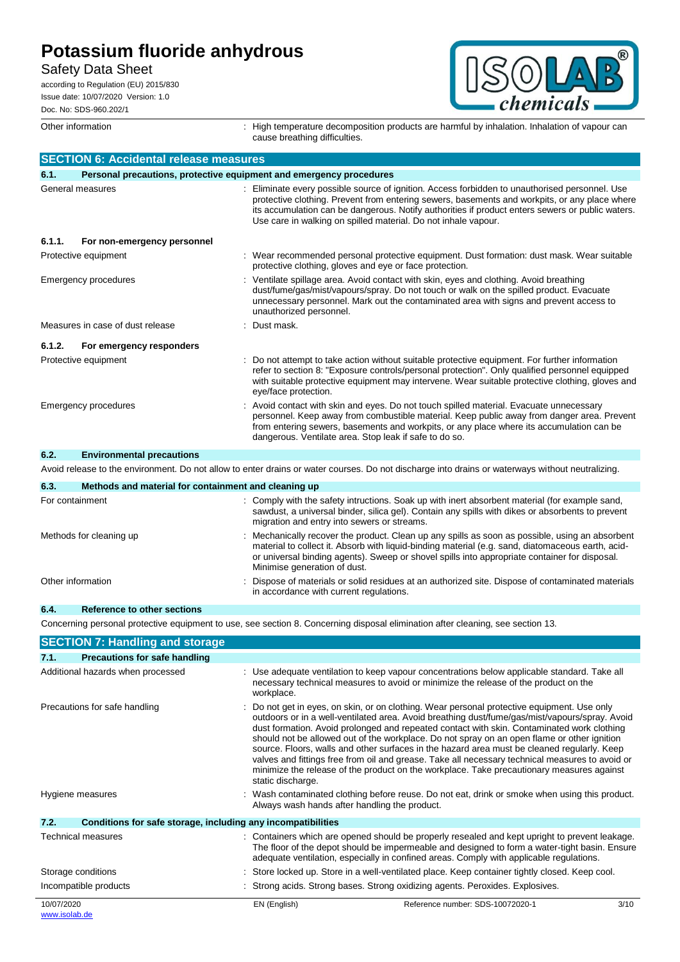Safety Data Sheet

according to Regulation (EU) 2015/830 Issue date: 10/07/2020 Version: 1.0 Doc. No: SDS-960.202/1

® A chemicals

Other information **interpretation** : High temperature decomposition products are harmful by inhalation. Inhalation of vapour can cause breathing difficulties.

|        | <b>SECTION 6: Accidental release measures</b>        |                                                                                                                                                                                                                                                                                                                                                                     |
|--------|------------------------------------------------------|---------------------------------------------------------------------------------------------------------------------------------------------------------------------------------------------------------------------------------------------------------------------------------------------------------------------------------------------------------------------|
| 6.1.   |                                                      | Personal precautions, protective equipment and emergency procedures                                                                                                                                                                                                                                                                                                 |
|        | General measures                                     | Eliminate every possible source of ignition. Access forbidden to unauthorised personnel. Use<br>protective clothing. Prevent from entering sewers, basements and workpits, or any place where<br>its accumulation can be dangerous. Notify authorities if product enters sewers or public waters.<br>Use care in walking on spilled material. Do not inhale vapour. |
| 6.1.1. | For non-emergency personnel                          |                                                                                                                                                                                                                                                                                                                                                                     |
|        | Protective equipment                                 | Wear recommended personal protective equipment. Dust formation: dust mask. Wear suitable<br>protective clothing, gloves and eye or face protection.                                                                                                                                                                                                                 |
|        | Emergency procedures                                 | Ventilate spillage area. Avoid contact with skin, eyes and clothing. Avoid breathing<br>dust/fume/gas/mist/vapours/spray. Do not touch or walk on the spilled product. Evacuate<br>unnecessary personnel. Mark out the contaminated area with signs and prevent access to<br>unauthorized personnel.                                                                |
|        | Measures in case of dust release                     | Dust mask.                                                                                                                                                                                                                                                                                                                                                          |
| 6.1.2. | For emergency responders                             |                                                                                                                                                                                                                                                                                                                                                                     |
|        | Protective equipment                                 | Do not attempt to take action without suitable protective equipment. For further information<br>refer to section 8: "Exposure controls/personal protection". Only qualified personnel equipped<br>with suitable protective equipment may intervene. Wear suitable protective clothing, gloves and<br>eye/face protection.                                           |
|        | Emergency procedures                                 | Avoid contact with skin and eyes. Do not touch spilled material. Evacuate unnecessary<br>personnel. Keep away from combustible material. Keep public away from danger area. Prevent<br>from entering sewers, basements and workpits, or any place where its accumulation can be<br>dangerous. Ventilate area. Stop leak if safe to do so.                           |
| 6.2.   | <b>Environmental precautions</b>                     |                                                                                                                                                                                                                                                                                                                                                                     |
|        |                                                      | Avoid release to the environment. Do not allow to enter drains or water courses. Do not discharge into drains or waterways without neutralizing.                                                                                                                                                                                                                    |
| 63     | Mathods and material for containment and cleaning un |                                                                                                                                                                                                                                                                                                                                                                     |

| ν.σ.<br><u>Metricus and material for contaminent and clearing up</u> |                                                                                                                                                                                                                                                                                                                                       |
|----------------------------------------------------------------------|---------------------------------------------------------------------------------------------------------------------------------------------------------------------------------------------------------------------------------------------------------------------------------------------------------------------------------------|
| For containment                                                      | : Comply with the safety intructions. Soak up with inert absorbent material (for example sand,<br>sawdust, a universal binder, silica gel). Contain any spills with dikes or absorbents to prevent<br>migration and entry into sewers or streams.                                                                                     |
| Methods for cleaning up                                              | : Mechanically recover the product. Clean up any spills as soon as possible, using an absorbent<br>material to collect it. Absorb with liquid-binding material (e.g. sand, diatomaceous earth, acid-<br>or universal binding agents). Sweep or shovel spills into appropriate container for disposal.<br>Minimise generation of dust. |
| Other information                                                    | : Dispose of materials or solid residues at an authorized site. Dispose of contaminated materials<br>in accordance with current regulations.                                                                                                                                                                                          |

#### **6.4. Reference to other sections**

Concerning personal protective equipment to use, see section 8. Concerning disposal elimination after cleaning, see section 13.

| <b>SECTION 7: Handling and storage</b>                               |                                               |                                                                                                                                                                                                                                                                                                                                                                                                                                                                                                                                                                                                                                                                                           |      |
|----------------------------------------------------------------------|-----------------------------------------------|-------------------------------------------------------------------------------------------------------------------------------------------------------------------------------------------------------------------------------------------------------------------------------------------------------------------------------------------------------------------------------------------------------------------------------------------------------------------------------------------------------------------------------------------------------------------------------------------------------------------------------------------------------------------------------------------|------|
| <b>Precautions for safe handling</b><br>7.1.                         |                                               |                                                                                                                                                                                                                                                                                                                                                                                                                                                                                                                                                                                                                                                                                           |      |
| Additional hazards when processed                                    | workplace.                                    | : Use adequate ventilation to keep vapour concentrations below applicable standard. Take all<br>necessary technical measures to avoid or minimize the release of the product on the                                                                                                                                                                                                                                                                                                                                                                                                                                                                                                       |      |
| Precautions for safe handling                                        | static discharge.                             | : Do not get in eyes, on skin, or on clothing. Wear personal protective equipment. Use only<br>outdoors or in a well-ventilated area. Avoid breathing dust/fume/gas/mist/vapours/spray. Avoid<br>dust formation. Avoid prolonged and repeated contact with skin. Contaminated work clothing<br>should not be allowed out of the workplace. Do not spray on an open flame or other ignition<br>source. Floors, walls and other surfaces in the hazard area must be cleaned regularly. Keep<br>valves and fittings free from oil and grease. Take all necessary technical measures to avoid or<br>minimize the release of the product on the workplace. Take precautionary measures against |      |
| Hygiene measures                                                     | Always wash hands after handling the product. | : Wash contaminated clothing before reuse. Do not eat, drink or smoke when using this product.                                                                                                                                                                                                                                                                                                                                                                                                                                                                                                                                                                                            |      |
| 7.2.<br>Conditions for safe storage, including any incompatibilities |                                               |                                                                                                                                                                                                                                                                                                                                                                                                                                                                                                                                                                                                                                                                                           |      |
| Technical measures                                                   |                                               | : Containers which are opened should be properly resealed and kept upright to prevent leakage.<br>The floor of the depot should be impermeable and designed to form a water-tight basin. Ensure<br>adequate ventilation, especially in confined areas. Comply with applicable regulations.                                                                                                                                                                                                                                                                                                                                                                                                |      |
| Storage conditions                                                   |                                               | : Store locked up. Store in a well-ventilated place. Keep container tightly closed. Keep cool.                                                                                                                                                                                                                                                                                                                                                                                                                                                                                                                                                                                            |      |
| Incompatible products                                                |                                               | : Strong acids. Strong bases. Strong oxidizing agents. Peroxides. Explosives.                                                                                                                                                                                                                                                                                                                                                                                                                                                                                                                                                                                                             |      |
| 10/07/2020<br>www.isolab.de                                          | EN (English)                                  | Reference number: SDS-10072020-1                                                                                                                                                                                                                                                                                                                                                                                                                                                                                                                                                                                                                                                          | 3/10 |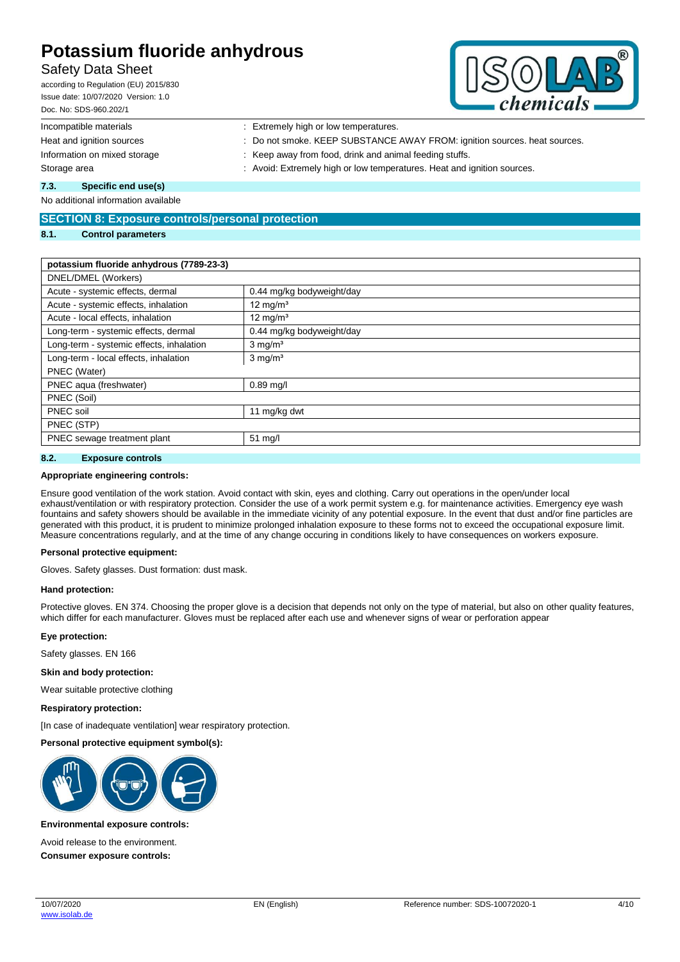### Safety Data Sheet

according to Regulation (EU) 2015/830 Issue date: 10/07/2020 Version: 1.0 Doc. No: SDS-960.202/1



| Doc. No: SDS-960.202/1       | $\mathbf{C}$                                                              |
|------------------------------|---------------------------------------------------------------------------|
| Incompatible materials       | : Extremely high or low temperatures.                                     |
| Heat and ignition sources    | : Do not smoke. KEEP SUBSTANCE AWAY FROM: ignition sources. heat sources. |
| Information on mixed storage | : Keep away from food, drink and animal feeding stuffs.                   |
| Storage area                 | : Avoid: Extremely high or low temperatures. Heat and ignition sources.   |
| 7.3.<br>Specific end use(s)  |                                                                           |

No additional information available

#### **SECTION 8: Exposure controls/personal protection**

#### **8.1. Control parameters**

#### **potassium fluoride anhydrous (7789-23-3)**

| DNEL/DMEL (Workers)                      |                           |
|------------------------------------------|---------------------------|
| Acute - systemic effects, dermal         | 0.44 mg/kg bodyweight/day |
| Acute - systemic effects, inhalation     | 12 mg/m <sup>3</sup>      |
| Acute - local effects, inhalation        | 12 mg/ $m3$               |
| Long-term - systemic effects, dermal     | 0.44 mg/kg bodyweight/day |
| Long-term - systemic effects, inhalation | $3$ mg/m <sup>3</sup>     |
| Long-term - local effects, inhalation    | $3 \text{ mg/m}^3$        |
| PNEC (Water)                             |                           |
| PNEC aqua (freshwater)                   | $0.89$ mg/l               |
| PNEC (Soil)                              |                           |
| PNEC soil                                | 11 mg/kg dwt              |
| PNEC (STP)                               |                           |
| PNEC sewage treatment plant              | $51 \text{ mg/l}$         |
|                                          |                           |

#### **8.2. Exposure controls**

#### **Appropriate engineering controls:**

Ensure good ventilation of the work station. Avoid contact with skin, eyes and clothing. Carry out operations in the open/under local exhaust/ventilation or with respiratory protection. Consider the use of a work permit system e.g. for maintenance activities. Emergency eye wash fountains and safety showers should be available in the immediate vicinity of any potential exposure. In the event that dust and/or fine particles are generated with this product, it is prudent to minimize prolonged inhalation exposure to these forms not to exceed the occupational exposure limit. Measure concentrations regularly, and at the time of any change occuring in conditions likely to have consequences on workers exposure.

#### **Personal protective equipment:**

Gloves. Safety glasses. Dust formation: dust mask.

#### **Hand protection:**

Protective gloves. EN 374. Choosing the proper glove is a decision that depends not only on the type of material, but also on other quality features, which differ for each manufacturer. Gloves must be replaced after each use and whenever signs of wear or perforation appear

#### **Eye protection:**

Safety glasses. EN 166

#### **Skin and body protection:**

Wear suitable protective clothing

#### **Respiratory protection:**

[In case of inadequate ventilation] wear respiratory protection.

**Personal protective equipment symbol(s):**



#### **Environmental exposure controls:**

Avoid release to the environment. **Consumer exposure controls:**

10/07/2020 [www.isolab.de](http://www.isolab.de/)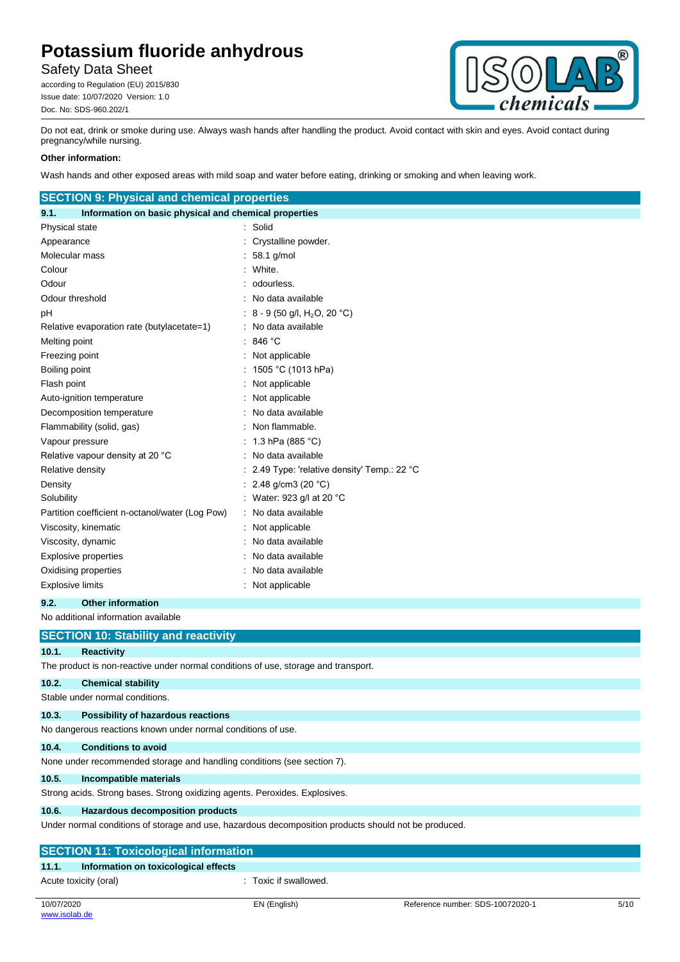## Safety Data Sheet

according to Regulation (EU) 2015/830 Issue date: 10/07/2020 Version: 1.0 Doc. No: SDS-960.202/1



Do not eat, drink or smoke during use. Always wash hands after handling the product. Avoid contact with skin and eyes. Avoid contact during pregnancy/while nursing.

#### **Other information:**

Wash hands and other exposed areas with mild soap and water before eating, drinking or smoking and when leaving work.

| <b>SECTION 9: Physical and chemical properties</b>                                 |                                            |  |
|------------------------------------------------------------------------------------|--------------------------------------------|--|
| Information on basic physical and chemical properties<br>9.1.                      |                                            |  |
| Physical state                                                                     | Solid                                      |  |
| Appearance                                                                         | Crystalline powder.                        |  |
| Molecular mass                                                                     | 58.1 g/mol                                 |  |
| Colour                                                                             | White.                                     |  |
| Odour                                                                              | odourless.                                 |  |
| Odour threshold                                                                    | No data available                          |  |
| рH                                                                                 | 8 - 9 (50 g/l, H <sub>2</sub> O, 20 °C)    |  |
| Relative evaporation rate (butylacetate=1)                                         | No data available                          |  |
| Melting point                                                                      | 846 °C                                     |  |
| Freezing point                                                                     | Not applicable<br>t                        |  |
| Boiling point                                                                      | 1505 °C (1013 hPa)                         |  |
| Flash point                                                                        | Not applicable                             |  |
| Auto-ignition temperature                                                          | Not applicable                             |  |
| Decomposition temperature                                                          | No data available                          |  |
| Flammability (solid, gas)                                                          | Non flammable.                             |  |
| Vapour pressure                                                                    | 1.3 hPa (885 °C)                           |  |
| Relative vapour density at 20 °C                                                   | No data available                          |  |
| Relative density                                                                   | 2.49 Type: 'relative density' Temp.: 22 °C |  |
| Density                                                                            | 2.48 g/cm3 (20 °C)                         |  |
| Solubility                                                                         | Water: 923 g/l at 20 °C                    |  |
| Partition coefficient n-octanol/water (Log Pow)                                    | No data available                          |  |
| Viscosity, kinematic                                                               | Not applicable                             |  |
| Viscosity, dynamic                                                                 | No data available                          |  |
| Explosive properties                                                               | No data available                          |  |
| Oxidising properties                                                               | No data available                          |  |
| <b>Explosive limits</b>                                                            | : Not applicable                           |  |
| 9.2.<br><b>Other information</b>                                                   |                                            |  |
| No additional information available                                                |                                            |  |
| <b>SECTION 10: Stability and reactivity</b>                                        |                                            |  |
| 10.1.<br><b>Reactivity</b>                                                         |                                            |  |
| The product is non-reactive under normal conditions of use, storage and transport. |                                            |  |
| 10.2.<br><b>Chemical stability</b>                                                 |                                            |  |
| Stable under normal conditions.                                                    |                                            |  |
| 10.3.<br><b>Possibility of hazardous reactions</b>                                 |                                            |  |

No dangerous reactions known under normal conditions of use.

#### **10.4. Conditions to avoid**

None under recommended storage and handling conditions (see section 7).

#### **10.5. Incompatible materials**

Strong acids. Strong bases. Strong oxidizing agents. Peroxides. Explosives.

#### **10.6. Hazardous decomposition products**

Under normal conditions of storage and use, hazardous decomposition products should not be produced.

| <b>SECTION 11: Toxicological information</b>  |                     |  |  |
|-----------------------------------------------|---------------------|--|--|
| 11.1.<br>Information on toxicological effects |                     |  |  |
| Acute toxicity (oral)                         | Toxic if swallowed. |  |  |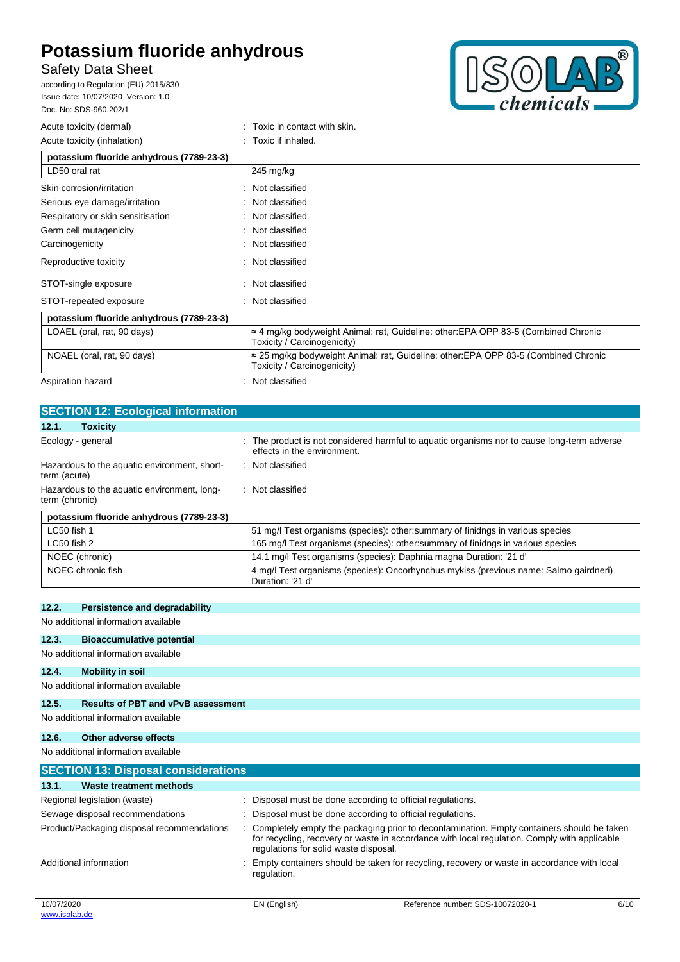## Safety Data Sheet

according to Regulation (EU) 2015/830 Issue date: 10/07/2020 Version: 1.0 Doc. No: SDS-960.202/1



| Acute toxicity (dermal)                  | : Toxic in contact with skin.                                                                                              |
|------------------------------------------|----------------------------------------------------------------------------------------------------------------------------|
| Acute toxicity (inhalation)              | $\therefore$ Toxic if inhaled.                                                                                             |
| potassium fluoride anhydrous (7789-23-3) |                                                                                                                            |
| LD50 oral rat                            | $245$ mg/kg                                                                                                                |
| Skin corrosion/irritation                | : Not classified                                                                                                           |
| Serious eye damage/irritation            | : Not classified                                                                                                           |
| Respiratory or skin sensitisation        | Not classified                                                                                                             |
| Germ cell mutagenicity                   | Not classified                                                                                                             |
| Carcinogenicity                          | Not classified                                                                                                             |
| Reproductive toxicity                    | : Not classified                                                                                                           |
| STOT-single exposure                     | : Not classified                                                                                                           |
| STOT-repeated exposure                   | : Not classified                                                                                                           |
| potassium fluoride anhydrous (7789-23-3) |                                                                                                                            |
| LOAEL (oral, rat, 90 days)               | $\approx$ 4 mg/kg bodyweight Animal: rat, Guideline: other: EPA OPP 83-5 (Combined Chronic<br>Toxicity / Carcinogenicity)  |
| NOAEL (oral, rat, 90 days)               | $\approx$ 25 mg/kg bodyweight Animal: rat, Guideline: other: EPA OPP 83-5 (Combined Chronic<br>Toxicity / Carcinogenicity) |
| Aspiration hazard                        | Not classified                                                                                                             |

| <b>SECTION 12: Ecological information</b>                     |                                                                                                                            |
|---------------------------------------------------------------|----------------------------------------------------------------------------------------------------------------------------|
| <b>Toxicity</b><br>12.1.                                      |                                                                                                                            |
| Ecology - general                                             | : The product is not considered harmful to aquatic organisms nor to cause long-term adverse<br>effects in the environment. |
| Hazardous to the aquatic environment, short-<br>term (acute)  | : Not classified                                                                                                           |
| Hazardous to the aquatic environment, long-<br>term (chronic) | : Not classified                                                                                                           |
| potassium fluoride anhydrous (7789-23-3)                      |                                                                                                                            |
| LC50 fish 1                                                   | 51 mg/l Test organisms (species): other: summary of finidngs in various species                                            |
|                                                               |                                                                                                                            |

|                                                                                                 | LC50 fish 1                                                                                                                    | 51 mg/l Test organisms (species): other: summary of finidngs in various species |  |  |
|-------------------------------------------------------------------------------------------------|--------------------------------------------------------------------------------------------------------------------------------|---------------------------------------------------------------------------------|--|--|
| 165 mg/l Test organisms (species): other: summary of finidngs in various species<br>LC50 fish 2 |                                                                                                                                |                                                                                 |  |  |
|                                                                                                 | NOEC (chronic)                                                                                                                 | 14.1 mg/l Test organisms (species): Daphnia magna Duration: '21 d'              |  |  |
|                                                                                                 | 4 mg/l Test organisms (species): Oncorhynchus mykiss (previous name: Salmo gairdneri)<br>NOEC chronic fish<br>Duration: '21 d' |                                                                                 |  |  |

#### **12.2. Persistence and degradability**

No additional information available

#### **12.3. Bioaccumulative potential**

#### No additional information available

**12.4. Mobility in soil**

No additional information available

### **12.5. Results of PBT and vPvB assessment**

## No additional information available **12.6. Other adverse effects** No additional information available **SECTION 13: Disposal considerations 13.1. Waste treatment methods**

| Regional legislation (waste)               | : Disposal must be done according to official regulations.                                                                                                                                                                           |
|--------------------------------------------|--------------------------------------------------------------------------------------------------------------------------------------------------------------------------------------------------------------------------------------|
| Sewage disposal recommendations            | : Disposal must be done according to official regulations.                                                                                                                                                                           |
| Product/Packaging disposal recommendations | : Completely empty the packaging prior to decontamination. Empty containers should be taken<br>for recycling, recovery or waste in accordance with local regulation. Comply with applicable<br>regulations for solid waste disposal. |
| Additional information                     | Empty containers should be taken for recycling, recovery or waste in accordance with local<br>regulation.                                                                                                                            |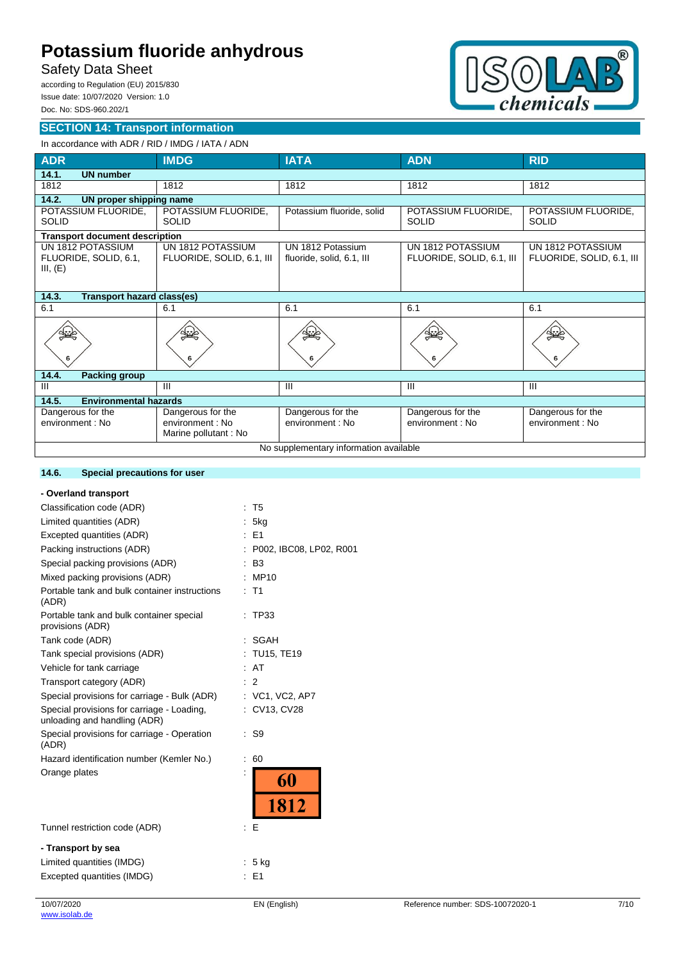## Safety Data Sheet

according to Regulation (EU) 2015/830 Issue date: 10/07/2020 Version: 1.0 Doc. No: SDS-960.202/1

#### **SECTION 14: Transport information**



## In accordance with ADR / RID / IMDG / IATA / ADN

| <b>ADR</b>                                             | <b>IMDG</b>                                                   | <b>IATA</b>                                    | <b>ADN</b>                                     | <b>RID</b>                                     |  |
|--------------------------------------------------------|---------------------------------------------------------------|------------------------------------------------|------------------------------------------------|------------------------------------------------|--|
| 14.1.<br><b>UN number</b>                              |                                                               |                                                |                                                |                                                |  |
| 1812                                                   | 1812                                                          | 1812                                           | 1812                                           | 1812                                           |  |
| 14.2.<br>UN proper shipping name                       |                                                               |                                                |                                                |                                                |  |
| POTASSIUM FLUORIDE,<br><b>SOLID</b>                    | POTASSIUM FLUORIDE.<br><b>SOLID</b>                           | Potassium fluoride, solid                      | POTASSIUM FLUORIDE,<br><b>SOLID</b>            | POTASSIUM FLUORIDE,<br><b>SOLID</b>            |  |
| <b>Transport document description</b>                  |                                                               |                                                |                                                |                                                |  |
| UN 1812 POTASSIUM<br>FLUORIDE, SOLID, 6.1,<br>III, (E) | UN 1812 POTASSIUM<br>FLUORIDE, SOLID, 6.1, III                | UN 1812 Potassium<br>fluoride, solid, 6.1, III | UN 1812 POTASSIUM<br>FLUORIDE, SOLID, 6.1, III | UN 1812 POTASSIUM<br>FLUORIDE, SOLID, 6.1, III |  |
| 14.3.<br>Transport hazard class(es)                    |                                                               |                                                |                                                |                                                |  |
| 6.1                                                    | 6.1                                                           | 6.1                                            | 6.1                                            | 6.1                                            |  |
|                                                        |                                                               | 6                                              |                                                | 6                                              |  |
| 14.4.<br><b>Packing group</b>                          |                                                               |                                                |                                                |                                                |  |
| $\mathbf{III}$                                         | Ш                                                             | Ш                                              | $\mathbf{III}$                                 | Ш                                              |  |
| <b>Environmental hazards</b><br>14.5.                  |                                                               |                                                |                                                |                                                |  |
| Dangerous for the<br>environment : No                  | Dangerous for the<br>environment : No<br>Marine pollutant: No | Dangerous for the<br>environment : No          | Dangerous for the<br>environment : No          | Dangerous for the<br>environment : No          |  |
| No supplementary information available                 |                                                               |                                                |                                                |                                                |  |

### **14.6. Special precautions for user**

| - Overland transport                                                       |                         |
|----------------------------------------------------------------------------|-------------------------|
| Classification code (ADR)                                                  | T <sub>5</sub>          |
| Limited quantities (ADR)                                                   | 5kg                     |
| Excepted quantities (ADR)                                                  | $E = 51$                |
| Packing instructions (ADR)                                                 | P002, IBC08, LP02, R001 |
| Special packing provisions (ADR)                                           | B <sub>3</sub>          |
| Mixed packing provisions (ADR)                                             | MP10                    |
| Portable tank and bulk container instructions<br>(ADR)                     | T <sub>1</sub>          |
| Portable tank and bulk container special<br>provisions (ADR)               | <b>TP33</b>             |
| Tank code (ADR)                                                            | SGAH                    |
| Tank special provisions (ADR)                                              | TU15, TE19              |
| Vehicle for tank carriage                                                  | AT                      |
| Transport category (ADR)                                                   | 2                       |
| Special provisions for carriage - Bulk (ADR)                               | : VC1, VC2, AP7         |
| Special provisions for carriage - Loading,<br>unloading and handling (ADR) | CV13, CV28              |
| Special provisions for carriage - Operation<br>(ADR)                       | S <sub>9</sub>          |
| Hazard identification number (Kemler No.)                                  | 60<br>t                 |
| Orange plates                                                              | 60<br>1812              |
| Tunnel restriction code (ADR)                                              | Е<br>t                  |
| - Transport by sea                                                         |                         |
| Limited quantities (IMDG)                                                  | 5 kg                    |
| Excepted quantities (IMDG)                                                 | E <sub>1</sub>          |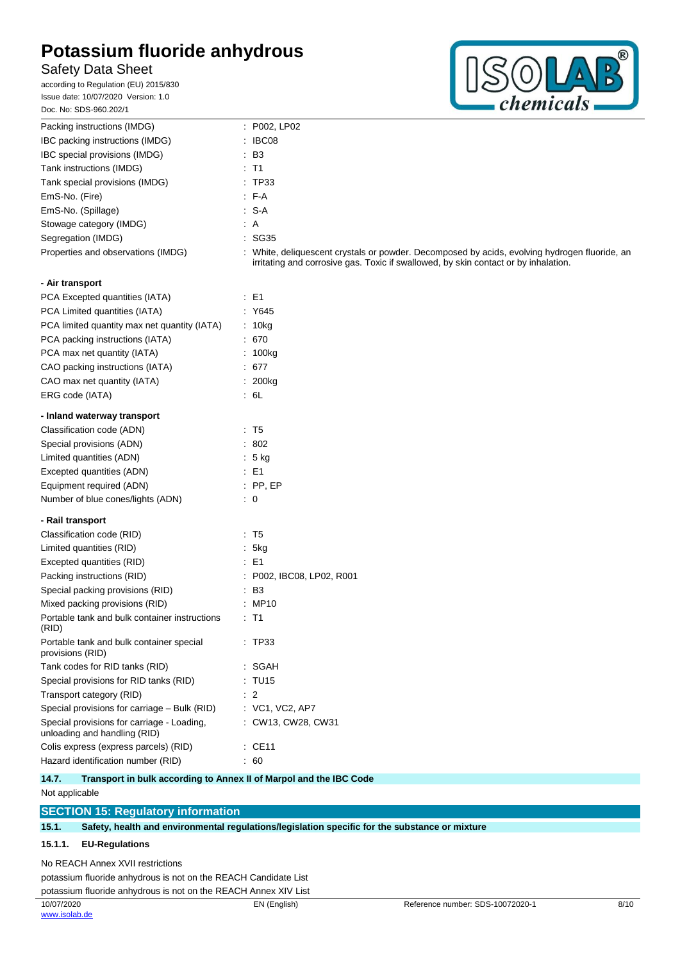## Safety Data Sheet

according to Regulation (EU) 2015/830 Issue date: 10/07/2020 Version: 1.0 Doc. No: SDS-960.202/1



| Packing instructions (IMDG)                                                | : P002, LP02                                                                                                                                                                       |
|----------------------------------------------------------------------------|------------------------------------------------------------------------------------------------------------------------------------------------------------------------------------|
| IBC packing instructions (IMDG)                                            | IBC08                                                                                                                                                                              |
| IBC special provisions (IMDG)                                              | $\cdot$ B <sub>3</sub>                                                                                                                                                             |
| Tank instructions (IMDG)                                                   | $\therefore$ T1                                                                                                                                                                    |
| Tank special provisions (IMDG)                                             | : TP33                                                                                                                                                                             |
| EmS-No. (Fire)                                                             | $F-A$                                                                                                                                                                              |
| EmS-No. (Spillage)                                                         | : S-A                                                                                                                                                                              |
| Stowage category (IMDG)                                                    | : A                                                                                                                                                                                |
| Segregation (IMDG)                                                         | :SG35                                                                                                                                                                              |
| Properties and observations (IMDG)                                         | White, deliquescent crystals or powder. Decomposed by acids, evolving hydrogen fluoride, an<br>irritating and corrosive gas. Toxic if swallowed, by skin contact or by inhalation. |
| - Air transport                                                            |                                                                                                                                                                                    |
| PCA Excepted quantities (IATA)                                             | $\therefore$ E1                                                                                                                                                                    |
| PCA Limited quantities (IATA)                                              | : Y645                                                                                                                                                                             |
| PCA limited quantity max net quantity (IATA)                               | : 10kg                                                                                                                                                                             |
| PCA packing instructions (IATA)                                            | .670                                                                                                                                                                               |
| PCA max net quantity (IATA)                                                | : 100kg                                                                                                                                                                            |
| CAO packing instructions (IATA)                                            | : 677                                                                                                                                                                              |
| CAO max net quantity (IATA)                                                | : 200kg                                                                                                                                                                            |
| ERG code (IATA)                                                            | $\cdot$ 6L                                                                                                                                                                         |
| - Inland waterway transport                                                |                                                                                                                                                                                    |
| Classification code (ADN)                                                  | $\therefore$ T5                                                                                                                                                                    |
| Special provisions (ADN)                                                   | .802                                                                                                                                                                               |
| Limited quantities (ADN)                                                   | $5$ kg                                                                                                                                                                             |
| Excepted quantities (ADN)                                                  | $\therefore$ E1                                                                                                                                                                    |
| Equipment required (ADN)                                                   | $:$ PP, EP                                                                                                                                                                         |
| Number of blue cones/lights (ADN)                                          | $\therefore$ 0                                                                                                                                                                     |
| - Rail transport                                                           |                                                                                                                                                                                    |
| Classification code (RID)                                                  | $\cdot$ T5                                                                                                                                                                         |
| Limited quantities (RID)                                                   | : 5kg                                                                                                                                                                              |
| Excepted quantities (RID)                                                  | $\therefore$ E1                                                                                                                                                                    |
| Packing instructions (RID)                                                 | : P002, IBC08, LP02, R001                                                                                                                                                          |
| Special packing provisions (RID)                                           | $\cdot$ B <sub>3</sub>                                                                                                                                                             |
| Mixed packing provisions (RID)                                             | : MP10                                                                                                                                                                             |
| Portable tank and bulk container instructions<br>(RID)                     | $\therefore$ T1                                                                                                                                                                    |
| Portable tank and bulk container special<br>provisions (RID)               | : TP33                                                                                                                                                                             |
| Tank codes for RID tanks (RID)                                             | : SGAH                                                                                                                                                                             |
| Special provisions for RID tanks (RID)                                     | : TU15                                                                                                                                                                             |
| Transport category (RID)                                                   | $\therefore$ 2                                                                                                                                                                     |
| Special provisions for carriage - Bulk (RID)                               | : VC1, VC2, AP7                                                                                                                                                                    |
| Special provisions for carriage - Loading,<br>unloading and handling (RID) | : CW13, CW28, CW31                                                                                                                                                                 |
| Colis express (express parcels) (RID)                                      | $\therefore$ CE11                                                                                                                                                                  |
| Hazard identification number (RID)                                         | $\therefore 60$                                                                                                                                                                    |

**14.7. Transport in bulk according to Annex II of Marpol and the IBC Code** Not applicable

### **SECTION 15: Regulatory information**

**15.1. Safety, health and environmental regulations/legislation specific for the substance or mixture**

#### **15.1.1. EU-Regulations**

No REACH Annex XVII restrictions

potassium fluoride anhydrous is not on the REACH Candidate List potassium fluoride anhydrous is not on the REACH Annex XIV List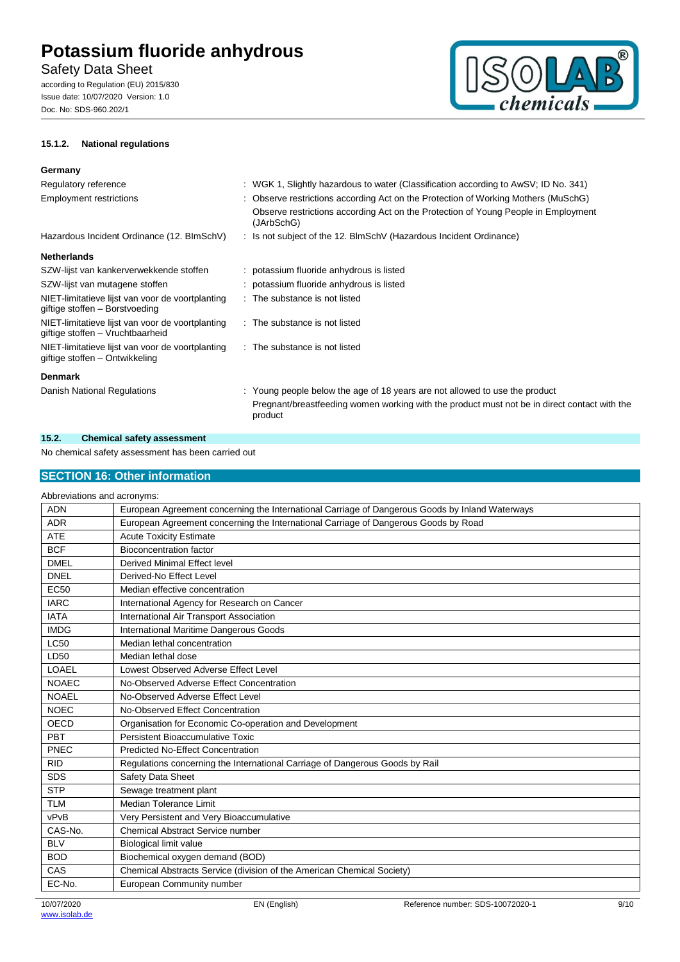## Safety Data Sheet

according to Regulation (EU) 2015/830 Issue date: 10/07/2020 Version: 1.0 Doc. No: SDS-960.202/1





#### **Germany**

| Regulatory reference                                                                 | : WGK 1, Slightly hazardous to water (Classification according to AwSV; ID No. 341)                     |
|--------------------------------------------------------------------------------------|---------------------------------------------------------------------------------------------------------|
| <b>Employment restrictions</b>                                                       | : Observe restrictions according Act on the Protection of Working Mothers (MuSchG)                      |
|                                                                                      | Observe restrictions according Act on the Protection of Young People in Employment<br>(JArbSchG)        |
| Hazardous Incident Ordinance (12. BImSchV)                                           | : Is not subject of the 12. BlmSchV (Hazardous Incident Ordinance)                                      |
| <b>Netherlands</b>                                                                   |                                                                                                         |
| SZW-lijst van kankerverwekkende stoffen                                              | : potassium fluoride anhydrous is listed                                                                |
| SZW-lijst van mutagene stoffen                                                       | : potassium fluoride anhydrous is listed                                                                |
| NIET-limitatieve lijst van voor de voortplanting<br>giftige stoffen - Borstvoeding   | : The substance is not listed                                                                           |
| NIET-limitatieve lijst van voor de voortplanting<br>giftige stoffen - Vruchtbaarheid | : The substance is not listed                                                                           |
| NIET-limitatieve lijst van voor de voortplanting<br>giftige stoffen - Ontwikkeling   | : The substance is not listed                                                                           |
| <b>Denmark</b>                                                                       |                                                                                                         |
| Danish National Regulations                                                          | : Young people below the age of 18 years are not allowed to use the product                             |
|                                                                                      | Pregnant/breastfeeding women working with the product must not be in direct contact with the<br>product |

#### **15.2. Chemical safety assessment**

No chemical safety assessment has been carried out

### **SECTION 16: Other information**

| Abbreviations and acronyms: |                                                                                                 |
|-----------------------------|-------------------------------------------------------------------------------------------------|
| <b>ADN</b>                  | European Agreement concerning the International Carriage of Dangerous Goods by Inland Waterways |
| <b>ADR</b>                  | European Agreement concerning the International Carriage of Dangerous Goods by Road             |
| <b>ATE</b>                  | <b>Acute Toxicity Estimate</b>                                                                  |
| <b>BCF</b>                  | <b>Bioconcentration factor</b>                                                                  |
| <b>DMEL</b>                 | Derived Minimal Effect level                                                                    |
| <b>DNEL</b>                 | Derived-No Effect Level                                                                         |
| <b>EC50</b>                 | Median effective concentration                                                                  |
| <b>IARC</b>                 | International Agency for Research on Cancer                                                     |
| <b>IATA</b>                 | International Air Transport Association                                                         |
| <b>IMDG</b>                 | International Maritime Dangerous Goods                                                          |
| <b>LC50</b>                 | Median lethal concentration                                                                     |
| LD50                        | Median lethal dose                                                                              |
| <b>LOAEL</b>                | Lowest Observed Adverse Effect Level                                                            |
| <b>NOAEC</b>                | No-Observed Adverse Effect Concentration                                                        |
| <b>NOAEL</b>                | No-Observed Adverse Effect Level                                                                |
| <b>NOEC</b>                 | No-Observed Effect Concentration                                                                |
| <b>OECD</b>                 | Organisation for Economic Co-operation and Development                                          |
| PBT                         | Persistent Bioaccumulative Toxic                                                                |
| PNEC                        | <b>Predicted No-Effect Concentration</b>                                                        |
| <b>RID</b>                  | Regulations concerning the International Carriage of Dangerous Goods by Rail                    |
| <b>SDS</b>                  | Safety Data Sheet                                                                               |
| <b>STP</b>                  | Sewage treatment plant                                                                          |
| <b>TLM</b>                  | Median Tolerance Limit                                                                          |
| vPvB                        | Very Persistent and Very Bioaccumulative                                                        |
| CAS-No.                     | <b>Chemical Abstract Service number</b>                                                         |
| <b>BLV</b>                  | <b>Biological limit value</b>                                                                   |
| <b>BOD</b>                  | Biochemical oxygen demand (BOD)                                                                 |
| CAS                         | Chemical Abstracts Service (division of the American Chemical Society)                          |
| EC-No.                      | European Community number                                                                       |